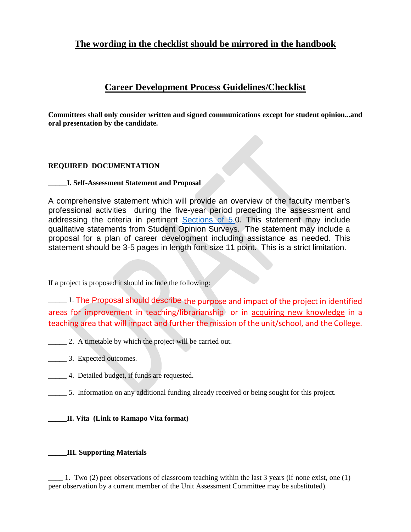# **The wording in the checklist should be mirrored in the handbook**

## **Career Development Process Guidelines/Checklist**

**Committees shall only consider written and signed communications except for student opinion...and oral presentation by the candidate.**

### **REQUIRED DOCUMENTATION**

**\_\_\_\_\_I. Self-Assessment Statement and Proposal**

A comprehensive statement which will provide an overview of the faculty member's professional activities during the five-year period preceding the assessment and addressing the criteria in pertinent [Sections of 5.0](https://docs.google.com/document/d/1kYfk44Q8MNuOjQtilTeJ4jOaBaO7VV8k/edit#heading=h.gjdgxs). This statement may include qualitative statements from Student Opinion Surveys. The statement may include a proposal for a plan of career development including assistance as needed. This statement should be 3-5 pages in length font size 11 point. This is a strict limitation.

If a project is proposed it should include the following:

\_\_\_\_\_ 1. The Proposal should describe the purpose and impact of the project in identified areas for improvement in teaching/librarianship or in acquiring new knowledge in a teaching area that will impact and further the mission of the unit/school, and the College.

- \_\_\_\_\_ 2. A timetable by which the project will be carried out.
- \_\_\_\_\_ 3. Expected outcomes.
- \_\_\_\_\_ 4. Detailed budget, if funds are requested.
- \_\_\_\_\_ 5. Information on any additional funding already received or being sought for this project.

### **\_\_\_\_\_II. Vita (Link to Ramapo Vita format)**

### **\_\_\_\_\_III. Supporting Materials**

\_\_\_\_ 1. Two (2) peer observations of classroom teaching within the last 3 years (if none exist, one (1) peer observation by a current member of the Unit Assessment Committee may be substituted).